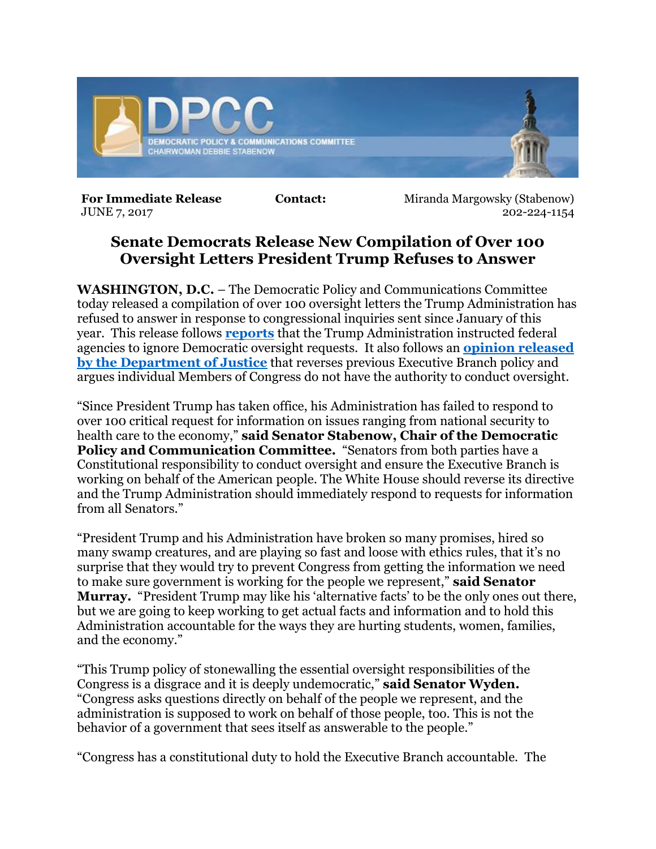

**For Immediate Release <b>Contact:** Miranda Margowsky (Stabenow) JUNE 7, 2017 202-224-1154

## **Senate Democrats Release New Compilation of Over 100 Oversight Letters President Trump Refuses to Answer**

**WASHINGTON, D.C.** – The Democratic Policy and Communications Committee today released a compilation of over 100 oversight letters the Trump Administration has refused to answer in response to congressional inquiries sent since January of this year. This release follows **[reports](http://www.politico.com/story/2017/06/02/federal-agencies-oversight-requests-democrats-white-house-239034)** that the Trump Administration instructed federal agencies to ignore Democratic oversight requests. It also follows an **[opinion released](https://www.justice.gov/olc/file/966326/download)  [by the Department of Justice](https://www.justice.gov/olc/file/966326/download)** that reverses previous Executive Branch policy and argues individual Members of Congress do not have the authority to conduct oversight.

"Since President Trump has taken office, his Administration has failed to respond to over 100 critical request for information on issues ranging from national security to health care to the economy," **said Senator Stabenow, Chair of the Democratic Policy and Communication Committee.** "Senators from both parties have a Constitutional responsibility to conduct oversight and ensure the Executive Branch is working on behalf of the American people. The White House should reverse its directive and the Trump Administration should immediately respond to requests for information from all Senators."

"President Trump and his Administration have broken so many promises, hired so many swamp creatures, and are playing so fast and loose with ethics rules, that it's no surprise that they would try to prevent Congress from getting the information we need to make sure government is working for the people we represent," **said Senator Murray.** "President Trump may like his 'alternative facts' to be the only ones out there, but we are going to keep working to get actual facts and information and to hold this Administration accountable for the ways they are hurting students, women, families, and the economy."

"This Trump policy of stonewalling the essential oversight responsibilities of the Congress is a disgrace and it is deeply undemocratic," **said Senator Wyden.** "Congress asks questions directly on behalf of the people we represent, and the administration is supposed to work on behalf of those people, too. This is not the behavior of a government that sees itself as answerable to the people."

"Congress has a constitutional duty to hold the Executive Branch accountable. The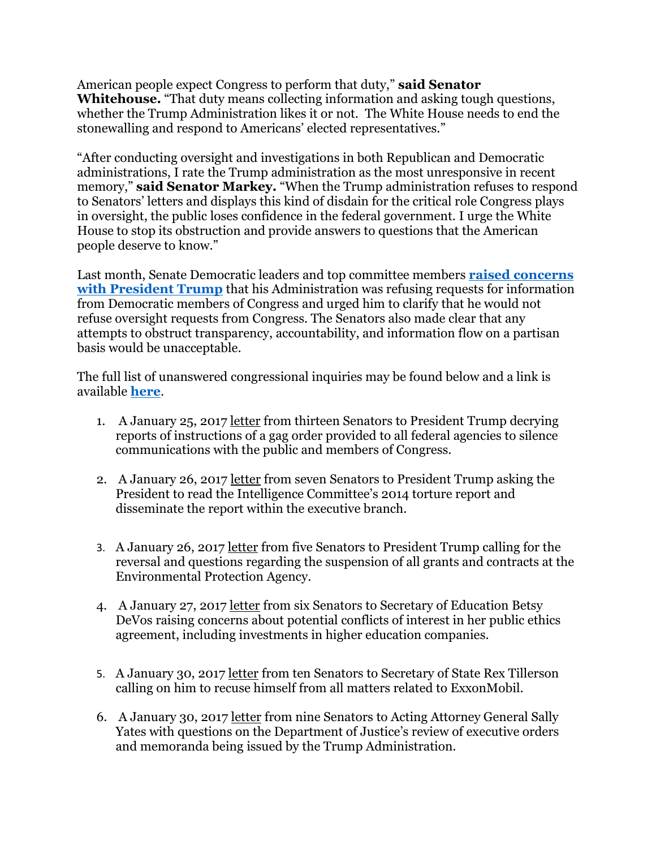American people expect Congress to perform that duty," **said Senator Whitehouse.** "That duty means collecting information and asking tough questions, whether the Trump Administration likes it or not. The White House needs to end the stonewalling and respond to Americans' elected representatives."

"After conducting oversight and investigations in both Republican and Democratic administrations, I rate the Trump administration as the most unresponsive in recent memory," **said Senator Markey.** "When the Trump administration refuses to respond to Senators' letters and displays this kind of disdain for the critical role Congress plays in oversight, the public loses confidence in the federal government. I urge the White House to stop its obstruction and provide answers to questions that the American people deserve to know."

Last month, Senate Democratic leaders and top committee members **[raised concerns](https://www.dpcc.senate.gov/files/documents/DemsOversightRelease5.24.17.pdf)  [with President Trump](https://www.dpcc.senate.gov/files/documents/DemsOversightRelease5.24.17.pdf)** that his Administration was refusing requests for information from Democratic members of Congress and urged him to clarify that he would not refuse oversight requests from Congress. The Senators also made clear that any attempts to obstruct transparency, accountability, and information flow on a partisan basis would be unacceptable.

The full list of unanswered congressional inquiries may be found below and a link is available **[here](https://www.dpcc.senate.gov/files/documents/DemsUnanswered6.7.17.pdf%20https:/www.dpcc.senate.gov/files/documents/DemsUnansweredLetters6.7.17.pdf)**.

- 1. A January 25, 2017 [letter](http://www.markey.senate.gov/imo/media/doc/2017-01-25-Trump-FederalWorkForceGagOrder-Markey-Letter1.pdf) from thirteen Senators to President Trump decrying reports of instructions of a gag order provided to all federal agencies to silence communications with the public and members of Congress.
- 2. A January 26, 2017 [letter](http://www.warner.senate.gov/public/index.cfm/pressreleases?ContentRecord_id=9A587505-7D8E-4B15-9CE9-055F844C6D22) from seven Senators to President Trump asking the President to read the Intelligence Committee's 2014 torture report and disseminate the report within the executive branch.
- 3. A January 26, 2017 [letter](https://www.carper.senate.gov/public/index.cfm/2017/1/senators-carper-markey-merkley-gillibrand-and-sanders-call-for-reversal-of-suspension-of-epa-grants-and-contracts) from five Senators to President Trump calling for the reversal and questions regarding the suspension of all grants and contracts at the Environmental Protection Agency.
- 4. A January 27, 2017 [letter](https://www.warren.senate.gov/?p=press_release&id=1408) from six Senators to Secretary of Education Betsy DeVos raising concerns about potential conflicts of interest in her public ethics agreement, including investments in higher education companies.
- 5. A January 30, 2017 [letter](http://www.markey.senate.gov/news/press-releases/senators-call-on-sec-of-state-nominee-rex-tillerson-to-recuse-himself-from-all-matters-related-to-exxonmobil) from ten Senators to Secretary of State Rex Tillerson calling on him to recuse himself from all matters related to ExxonMobil.
- 6. A January 30, 2017 [letter](UrlBlockedError.aspx) from nine Senators to Acting Attorney General Sally Yates with questions on the Department of Justice's review of executive orders and memoranda being issued by the Trump Administration.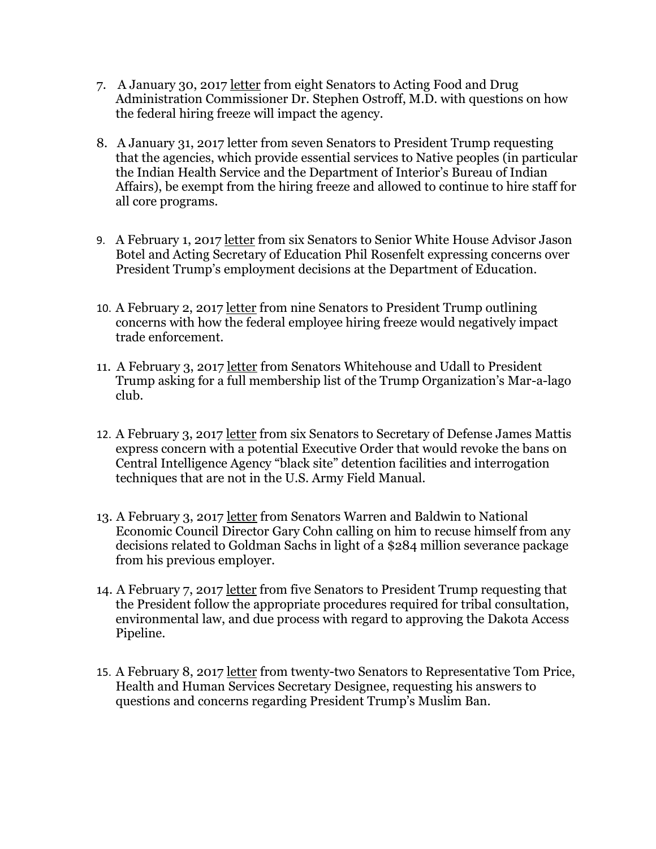- 7. A January 30, 2017 [letter](https://www.warren.senate.gov/files/documents/2017-1-30_Letter_to_FDA_re_Trump_hiring_freeze_impact.pdf) from eight Senators to Acting Food and Drug Administration Commissioner Dr. Stephen Ostroff, M.D. with questions on how the federal hiring freeze will impact the agency.
- 8. A January 31, 2017 letter from seven Senators to President Trump requesting that the agencies, which provide essential services to Native peoples (in particular the Indian Health Service and the Department of Interior's Bureau of Indian Affairs), be exempt from the hiring freeze and allowed to continue to hire staff for all core programs.
- 9. A February 1, 2017 [letter](http://www.help.senate.gov/imo/media/doc/02012017%20-%20PM%20political%20ED%20staffing%20concerns%20v2%20(002)%20FINALLLLLL.pdf) from six Senators to Senior White House Advisor Jason Botel and Acting Secretary of Education Phil Rosenfelt expressing concerns over President Trump's employment decisions at the Department of Education.
- 10. A February 2, 2017 [letter](https://www.finance.senate.gov/ranking-members-news/senators-to-white-house-hiring-freeze-damages-trade-enforcement-costs-us-jobs) from nine Senators to President Trump outlining concerns with how the federal employee hiring freeze would negatively impact trade enforcement.
- 11. A February 3, 2017 [letter](https://www.whitehouse.senate.gov/news/release/senators-to-trump-show-us-who-is-buying-access-to-the-winter-white-house) from Senators Whitehouse and Udall to President Trump asking for a full membership list of the Trump Organization's Mar-a-lago club.
- 12. A February 3, 2017 [letter](http://www.warner.senate.gov/public/index.cfm/pressreleases?ID=626EACBC-EC97-492E-932F-D06A9BFF04F3) from six Senators to Secretary of Defense James Mattis express concern with a potential Executive Order that would revoke the bans on Central Intelligence Agency "black site" detention facilities and interrogation techniques that are not in the U.S. Army Field Manual.
- 13. A February 3, 2017 [letter](https://www.warren.senate.gov/?p=press_release&id=1429) from Senators Warren and Baldwin to National Economic Council Director Gary Cohn calling on him to recuse himself from any decisions related to Goldman Sachs in light of a \$284 million severance package from his previous employer.
- 14. A February 7, 2017 [letter](https://www.cantwell.senate.gov/news/press-releases/senate-house-natural-resource-leaders-blast-dakota-access-pipeline-decision-stand-up-for-tribal-sovereignty-and-treaty-rights) from five Senators to President Trump requesting that the President follow the appropriate procedures required for tribal consultation, environmental law, and due process with regard to approving the Dakota Access Pipeline.
- 15. A February 8, 2017 [letter](https://www.help.senate.gov/imo/media/doc/Letter%20Price%20Muslim%20ban%20and%20Health%20Workforce%20and%20Scientists%202_8_2017.pdf) from twenty-two Senators to Representative Tom Price, Health and Human Services Secretary Designee, requesting his answers to questions and concerns regarding President Trump's Muslim Ban.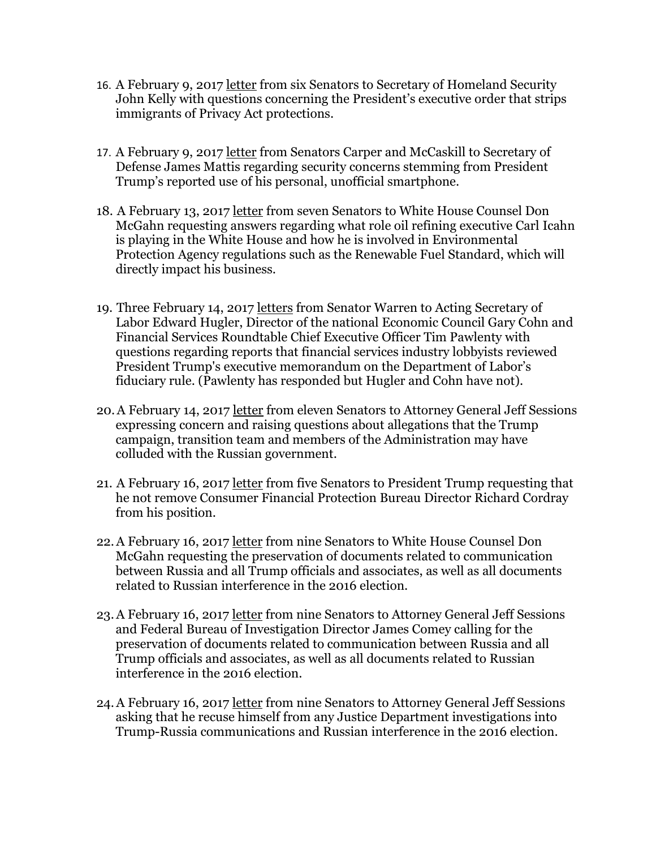- 16. A February 9, 2017 [letter](http://www.markey.senate.gov/news/press-releases/markey-leads-senators-in-demanding-answers-on-trump-executive-order-that-strips-immigrants-of-privacy-act-protections) from six Senators to Secretary of Homeland Security John Kelly with questions concerning the President's executive order that strips immigrants of Privacy Act protections.
- 17. A February 9, 2017 [letter](https://www.carper.senate.gov/public/_cache/files/9b7bf2f9-0e61-4467-95d4-610fd2ba1009/2017-02-09-letter-from-mccaskill-carper-to-secretary-mattis-press-.pdf) from Senators Carper and McCaskill to Secretary of Defense James Mattis regarding security concerns stemming from President Trump's reported use of his personal, unofficial smartphone.
- 18. A February 13, 2017 [letter](https://www.whitehouse.senate.gov/news/release/senators-demand-answers-about-icahns-white-house-role) from seven Senators to White House Counsel Don McGahn requesting answers regarding what role oil refining executive Carl Icahn is playing in the White House and how he is involved in Environmental Protection Agency regulations such as the Renewable Fuel Standard, which will directly impact his business.
- 19. Three February 14, 2017 [letters](https://www.warren.senate.gov/?p=press_release&id=1451) from Senator Warren to Acting Secretary of Labor Edward Hugler, Director of the national Economic Council Gary Cohn and Financial Services Roundtable Chief Executive Officer Tim Pawlenty with questions regarding reports that financial services industry lobbyists reviewed President Trump's executive memorandum on the Department of Labor's fiduciary rule. (Pawlenty has responded but Hugler and Cohn have not).
- 20.A February 14, 2017 [letter](https://www.blumenthal.senate.gov/imo/media/doc/Senators%20Letter%20to%20AG%20Sessions_2.14.17.pdf) from eleven Senators to Attorney General Jeff Sessions expressing concern and raising questions about allegations that the Trump campaign, transition team and members of the Administration may have colluded with the Russian government.
- 21. A February 16, 2017 [letter](https://www.durbin.senate.gov/newsroom/press-releases/senators-to-president-trump-do-not-remove-cfpb-director-cordray) from five Senators to President Trump requesting that he not remove Consumer Financial Protection Bureau Director Richard Cordray from his position.
- 22.A February 16, 2017 [letter](http://www.feinstein.senate.gov/public/_cache/files/7/9/79633ce7-2b76-40d9-90c8-361bbd0ed8c5/BFBBF09BE9A3E1BDFD9187F17E9541A4.letter-to-wh-on-document-retention.pdf) from nine Senators to White House Counsel Don McGahn requesting the preservation of documents related to communication between Russia and all Trump officials and associates, as well as all documents related to Russian interference in the 2016 election.
- 23.A February 16, 2017 [letter](http://www.feinstein.senate.gov/public/_cache/files/6/c/6c40ed66-9c01-4d71-a4ee-432810361a08/5FE252C3E13DECE40E6AC738A065AEC8.letter-to-doj-fbi-on-document-retention.pdf) from nine Senators to Attorney General Jeff Sessions and Federal Bureau of Investigation Director James Comey calling for the preservation of documents related to communication between Russia and all Trump officials and associates, as well as all documents related to Russian interference in the 2016 election.
- 24.A February 16, 2017 [letter](http://www.feinstein.senate.gov/public/index.cfm/press-releases?ID=E3B44318-1D8E-43AA-B575-CB4886EF0025) from nine Senators to Attorney General Jeff Sessions asking that he recuse himself from any Justice Department investigations into Trump-Russia communications and Russian interference in the 2016 election.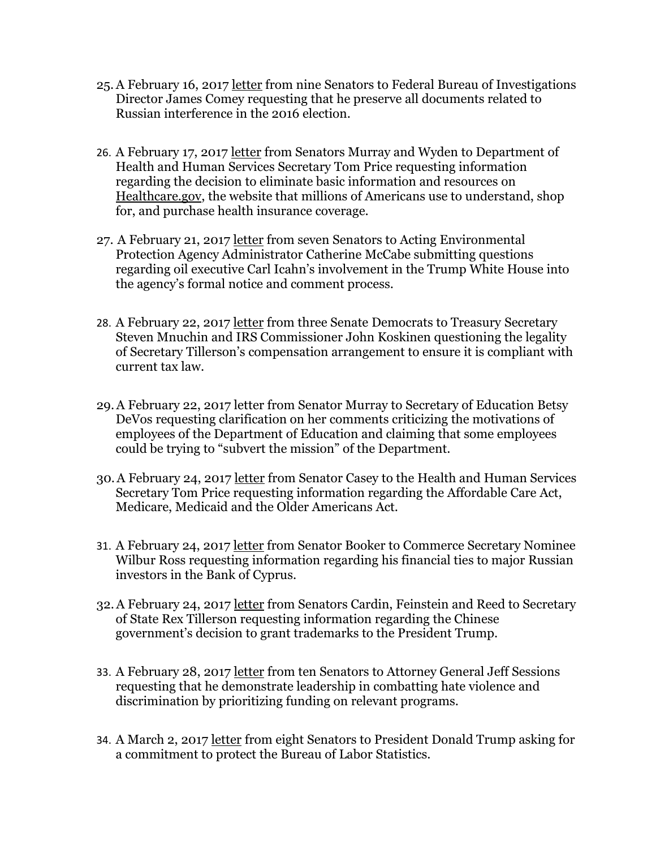- 25.A February 16, 2017 [letter](http://www.feinstein.senate.gov/public/index.cfm/press-releases?ID=E3B44318-1D8E-43AA-B575-CB4886EF0025) from nine Senators to Federal Bureau of Investigations Director James Comey requesting that he preserve all documents related to Russian interference in the 2016 election.
- 26. A February 17, 2017 [letter](http://www.help.senate.gov/imo/media/doc/021717%20Healthcare.gov%20letter.pdf) from Senators Murray and Wyden to Department of Health and Human Services Secretary Tom Price requesting information regarding the decision to eliminate basic information and resources on [Healthcare.gov,](http://healthcare.gov/) the website that millions of Americans use to understand, shop for, and purchase health insurance coverage.
- 27. A February 21, 2017 [letter](https://www.warren.senate.gov/files/documents/2017-02-17_Letter_to_McCabe_re_Icahn.pdf) from seven Senators to Acting Environmental Protection Agency Administrator Catherine McCabe submitting questions regarding oil executive Carl Icahn's involvement in the Trump White House into the agency's formal notice and comment process.
- 28. A February 22, 2017 [letter](https://www.finance.senate.gov/ranking-members-news/senate-democrats-question-legality-of-secretary-tillerson-ethics-plan-call-for-administration-to-close-abusive-tax-loopholes-) from three Senate Democrats to Treasury Secretary Steven Mnuchin and IRS Commissioner John Koskinen questioning the legality of Secretary Tillerson's compensation arrangement to ensure it is compliant with current tax law.
- 29.A February 22, 2017 letter from Senator Murray to Secretary of Education Betsy DeVos requesting clarification on her comments criticizing the motivations of employees of the Department of Education and claiming that some employees could be trying to "subvert the mission" of the Department.
- 30.A February 24, 2017 [letter](https://www.aging.senate.gov/press-releases/caseys-spotlight-a-letter-to-tom-price) from Senator Casey to the Health and Human Services Secretary Tom Price requesting information regarding the Affordable Care Act, Medicare, Medicaid and the Older Americans Act.
- 31. A February 24, 2017 [letter](https://www.booker.senate.gov/?p=press_release&id=545) from Senator Booker to Commerce Secretary Nominee Wilbur Ross requesting information regarding his financial ties to major Russian investors in the Bank of Cyprus.
- 32.A February 24, 2017 [letter](https://www.cardin.senate.gov/newsroom/press/release/cardin-feinstein-reed-to-tillerson-chinese-trademark-for-trump-organization-raises-serious-questions) from Senators Cardin, Feinstein and Reed to Secretary of State Rex Tillerson requesting information regarding the Chinese government's decision to grant trademarks to the President Trump.
- 33. A February 28, 2017 letter from ten Senators to Attorney General Jeff Sessions requesting that he demonstrate leadership in combatting hate violence and discrimination by prioritizing funding on relevant programs.
- 34. A March 2, 2017 [letter](https://www.help.senate.gov/imo/media/doc/POTUS%20BLS%20RM%20letter%20Final%20Signed.pdf) from eight Senators to President Donald Trump asking for a commitment to protect the Bureau of Labor Statistics.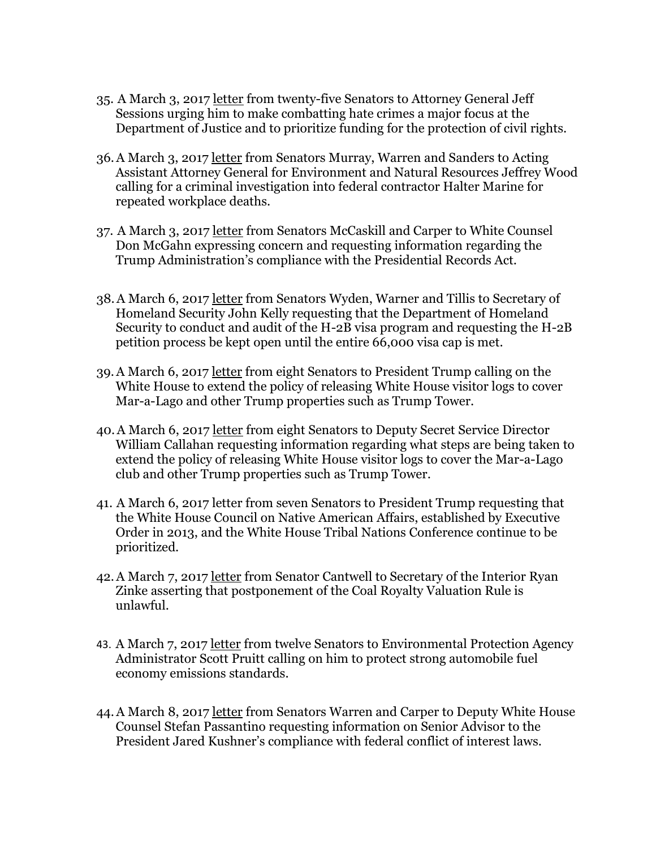- 35. A March 3, 2017 [letter](https://www.baldwin.senate.gov/press-releases/hate-crimes-priority-letter) from twenty-five Senators to Attorney General Jeff Sessions urging him to make combatting hate crimes a major focus at the Department of Justice and to prioritize funding for the protection of civil rights.
- 36.A March 3, 2017 [letter](https://www.warren.senate.gov/?p=press_release&id=1477) from Senators Murray, Warren and Sanders to Acting Assistant Attorney General for Environment and Natural Resources Jeffrey Wood calling for a criminal investigation into federal contractor Halter Marine for repeated workplace deaths.
- 37. A March 3, 2017 [letter](https://www.carper.senate.gov/public/_cache/files/1a35f87b-20b8-45d0-b015-585f00df7137/2017-03-03-letter-from-mccaskill-carper-to-wh-counsel-mcgahn-press-.pdf) from Senators McCaskill and Carper to White Counsel Don McGahn expressing concern and requesting information regarding the Trump Administration's compliance with the Presidential Records Act.
- 38.A March 6, 2017 [letter](https://www.tillis.senate.gov/public/index.cfm/2017/3/tillis-warner-lead-bipartisan-effort-outlining-concerns-with-h-2b-visa-cap) from Senators Wyden, Warner and Tillis to Secretary of Homeland Security John Kelly requesting that the Department of Homeland Security to conduct and audit of the H-2B visa program and requesting the H-2B petition process be kept open until the entire 66,000 visa cap is met.
- 39.A March 6, 2017 [letter](https://www.whitehouse.senate.gov/news/release/as-concerns-with-secrecy-mount-senators-call-on-trump-to-release-white-house-visitor-logs) from eight Senators to President Trump calling on the White House to extend the policy of releasing White House visitor logs to cover Mar-a-Lago and other Trump properties such as Trump Tower.
- 40.A March 6, 2017 [letter](https://www.whitehouse.senate.gov/news/release/as-concerns-with-secrecy-mount-senators-call-on-trump-to-release-white-house-visitor-logs) from eight Senators to Deputy Secret Service Director William Callahan requesting information regarding what steps are being taken to extend the policy of releasing White House visitor logs to cover the Mar-a-Lago club and other Trump properties such as Trump Tower.
- 41. A March 6, 2017 letter from seven Senators to President Trump requesting that the White House Council on Native American Affairs, established by Executive Order in 2013, and the White House Tribal Nations Conference continue to be prioritized.
- 42.A March 7, 2017 [letter](https://www.energy.senate.gov/public/index.cfm/2017/3/cantwell-postponement-of-coal-royalty-valuation-rule-is-unlawful) from Senator Cantwell to Secretary of the Interior Ryan Zinke asserting that postponement of the Coal Royalty Valuation Rule is unlawful.
- 43. A March 7, 2017 [letter](http://www.markey.senate.gov/news/press-releases/markey-leads-senators-in-call-to-trump-administration-to-protect-strong-auto-emissions-standards) from twelve Senators to Environmental Protection Agency Administrator Scott Pruitt calling on him to protect strong automobile fuel economy emissions standards.
- 44.A March 8, 2017 [letter](https://www.warren.senate.gov/?p=press_release&id=1487) from Senators Warren and Carper to Deputy White House Counsel Stefan Passantino requesting information on Senior Advisor to the President Jared Kushner's compliance with federal conflict of interest laws.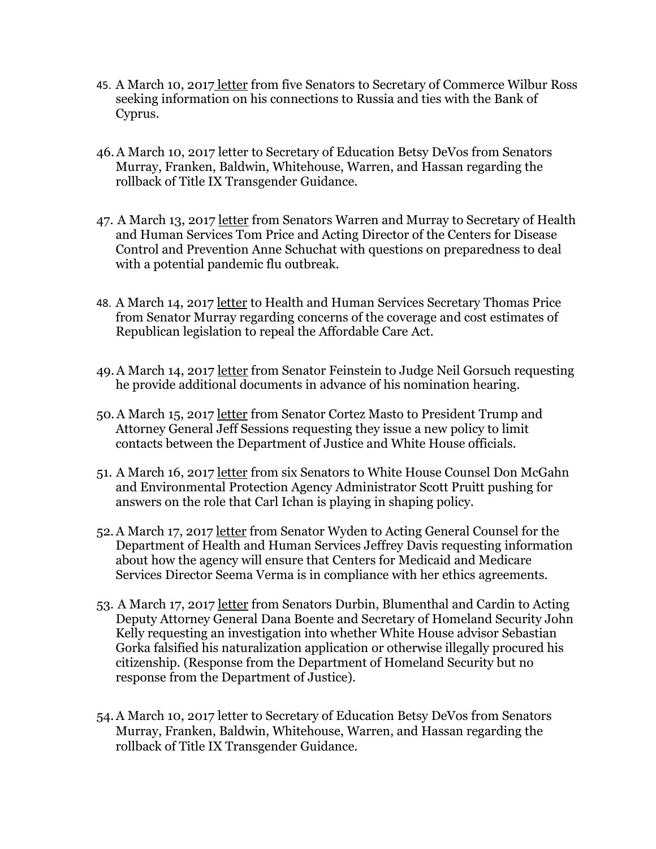- 45. A March 10, 2017 [letter](https://www.booker.senate.gov/?p=press_release&id=558) from five Senators to Secretary of Commerce Wilbur Ross seeking information on his connections to Russia and ties with the Bank of Cyprus.
- 46.A March 10, 2017 letter to Secretary of Education Betsy DeVos from Senators Murray, Franken, Baldwin, Whitehouse, Warren, and Hassan regarding the rollback of Title IX Transgender Guidance.
- 47. A March 13, 2017 [letter](https://www.warren.senate.gov/?p=press_release&id=1490) from Senators Warren and Murray to Secretary of Health and Human Services Tom Price and Acting Director of the Centers for Disease Control and Prevention Anne Schuchat with questions on preparedness to deal with a potential pandemic flu outbreak.
- 48. A March 14, 2017 [letter](https://www.help.senate.gov/imo/media/doc/031417%20Letter%20Price%20AHCA%20Statements.pdf) to Health and Human Services Secretary Thomas Price from Senator Murray regarding concerns of the coverage and cost estimates of Republican legislation to repeal the Affordable Care Act.
- 49.A March 14, 2017 [letter](https://www.feinstein.senate.gov/public/index.cfm/press-releases?ID=BA438530-CD69-437B-9E7E-BA425C7F1CC7) from Senator Feinstein to Judge Neil Gorsuch requesting he provide additional documents in advance of his nomination hearing.
- 50.A March 15, 2017 [letter](https://www.cortezmasto.senate.gov/content/cortez-masto-urges-trump-and-sessions-preserve-integrity-russian-investigation) from Senator Cortez Masto to President Trump and Attorney General Jeff Sessions requesting they issue a new policy to limit contacts between the Department of Justice and White House officials.
- 51. A March 16, 2017 [letter](https://www.whitehouse.senate.gov/news/release/after-a-month-of-waiting-senators-want-answers-on-icahn) from six Senators to White House Counsel Don McGahn and Environmental Protection Agency Administrator Scott Pruitt pushing for answers on the role that Carl Ichan is playing in shaping policy.
- 52.A March 17, 2017 [letter](https://www.finance.senate.gov/ranking-members-news/wyden-asks-hhs-to-ensure-verma-complies-with-ethics-agreement) from Senator Wyden to Acting General Counsel for the Department of Health and Human Services Jeffrey Davis requesting information about how the agency will ensure that Centers for Medicaid and Medicare Services Director Seema Verma is in compliance with her ethics agreements.
- 53. A March 17, 2017 [letter](https://www.foreign.senate.gov/press/ranking/release/cardin-joins-colleagues-in-calling-for-investigation-of-sebastian-gorka-after-reports-surface-of-ties-to-neo-nazi-group) from Senators Durbin, Blumenthal and Cardin to Acting Deputy Attorney General Dana Boente and Secretary of Homeland Security John Kelly requesting an investigation into whether White House advisor Sebastian Gorka falsified his naturalization application or otherwise illegally procured his citizenship. (Response from the Department of Homeland Security but no response from the Department of Justice).
- 54.A March 10, 2017 letter to Secretary of Education Betsy DeVos from Senators Murray, Franken, Baldwin, Whitehouse, Warren, and Hassan regarding the rollback of Title IX Transgender Guidance.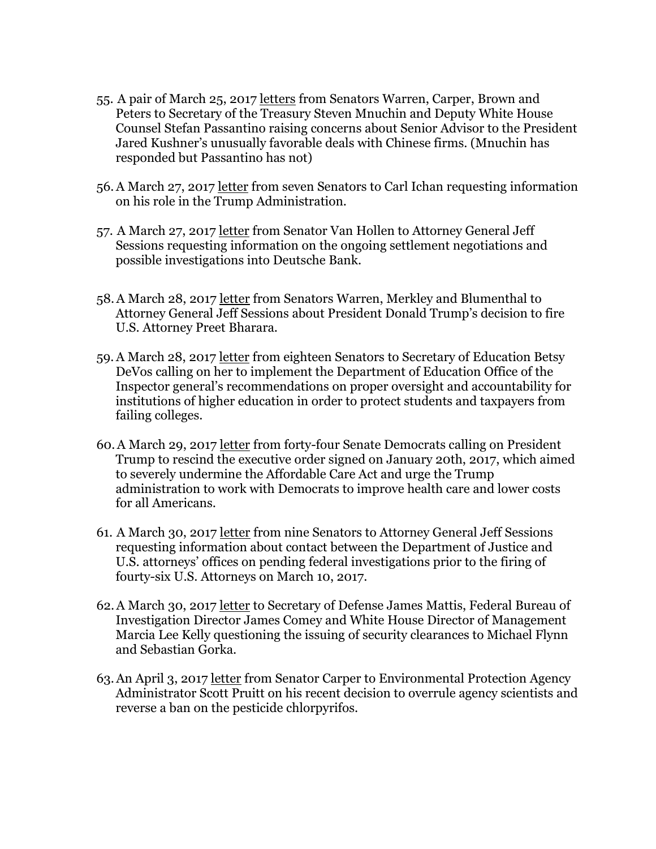- 55. A pair of March 25, 2017 [letters](https://www.warren.senate.gov/?p=press_release&id=1512) from Senators Warren, Carper, Brown and Peters to Secretary of the Treasury Steven Mnuchin and Deputy White House Counsel Stefan Passantino raising concerns about Senior Advisor to the President Jared Kushner's unusually favorable deals with Chinese firms. (Mnuchin has responded but Passantino has not)
- 56.A March 27, 2017 [letter](https://www.whitehouse.senate.gov/news/release/senators-turn-to-icahn-to-explain-role-in-administration) from seven Senators to Carl Ichan requesting information on his role in the Trump Administration.
- 57. A March 27, 2017 [letter](https://www.vanhollen.senate.gov/content/van-hollen-calls-sessions-recuse-himself-if-trump-deutsche-bank-investigations-are-not) from Senator Van Hollen to Attorney General Jeff Sessions requesting information on the ongoing settlement negotiations and possible investigations into Deutsche Bank.
- 58.A March 28, 2017 [letter](https://www.warren.senate.gov/?p=press_release&id=1515) from Senators Warren, Merkley and Blumenthal to Attorney General Jeff Sessions about President Donald Trump's decision to fire U.S. Attorney Preet Bharara.
- 59.A March 28, 2017 [letter](https://www.carper.senate.gov/public/index.cfm/pressreleases?ID=10CB523D-023C-4C53-8848-5B76BE418E91) from eighteen Senators to Secretary of Education Betsy DeVos calling on her to implement the Department of Education Office of the Inspector general's recommendations on proper oversight and accountability for institutions of higher education in order to protect students and taxpayers from failing colleges.
- 60.A March 29, 2017 [letter](https://www.hassan.senate.gov/content/shaheen-hassan-join-senate-letter-president-trump-abandon-aca-repeal-efforts-stop) from forty-four Senate Democrats calling on President Trump to rescind the executive order signed on January 20th, 2017, which aimed to severely undermine the Affordable Care Act and urge the Trump administration to work with Democrats to improve health care and lower costs for all Americans.
- 61. A March 30, 2017 [letter](https://www.feinstein.senate.gov/public/index.cfm/press-releases?ID=0DD150D7-7E38-4EC4-AD72-0B3ADB0E8937) from nine Senators to Attorney General Jeff Sessions requesting information about contact between the Department of Justice and U.S. attorneys' offices on pending federal investigations prior to the firing of fourty-six U.S. Attorneys on March 10, 2017.
- 62.A March 30, 2017 [letter](http://www.mcclatchydc.com/news/politics-government/congress/article142042914.html) to Secretary of Defense James Mattis, Federal Bureau of Investigation Director James Comey and White House Director of Management Marcia Lee Kelly questioning the issuing of security clearances to Michael Flynn and Sebastian Gorka.
- 63.An April 3, 2017 [letter](https://www.carper.senate.gov/public/index.cfm/pressreleases?ID=88CED038-BA4B-45BB-A709-0043E35BD495) from Senator Carper to Environmental Protection Agency Administrator Scott Pruitt on his recent decision to overrule agency scientists and reverse a ban on the pesticide chlorpyrifos.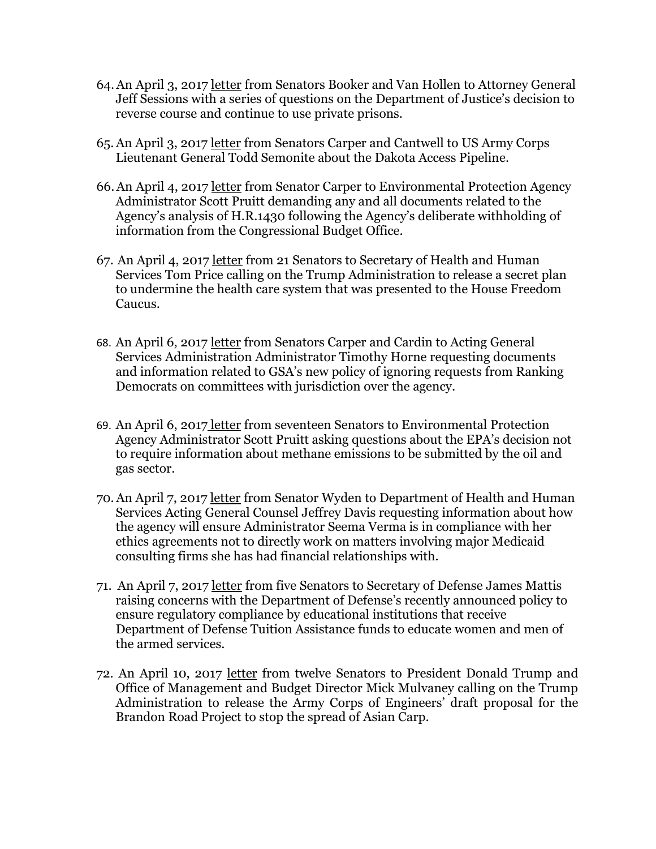- 64.An April 3, 2017 [letter](https://www.vanhollen.senate.gov/content/van-hollen-booker-demand-answers-doj-private-prisons) from Senators Booker and Van Hollen to Attorney General Jeff Sessions with a series of questions on the Department of Justice's decision to reverse course and continue to use private prisons.
- 65.An April 3, 2017 [letter](https://dlbjbjzgnk95t.cloudfront.net/0910000/910888/03.28.2017%20dapl%20letter%20mas%5B1%5D.pdf) from Senators Carper and Cantwell to US Army Corps Lieutenant General Todd Semonite about the Dakota Access Pipeline.
- 66.An April 4, 2017 [letter](https://www.carper.senate.gov/public/index.cfm/pressreleases?ID=6AA367C2-A085-46D8-B795-F7B5F9586E77) from Senator Carper to Environmental Protection Agency Administrator Scott Pruitt demanding any and all documents related to the Agency's analysis of H.R.1430 following the Agency's deliberate withholding of information from the Congressional Budget Office.
- 67. An April 4, 2017 [letter](https://www.casey.senate.gov/newsroom/releases/senators-demand-trump-administration-release-secret-plan-to-undermine-health-care-system-that-was-presented-to-house-freedom-caucus) from 21 Senators to Secretary of Health and Human Services Tom Price calling on the Trump Administration to release a secret plan to undermine the health care system that was presented to the House Freedom Caucus.
- 68. An April 6, 2017 [letter](https://www.carper.senate.gov/public/index.cfm/pressreleases?ID=4DA9456F-06C8-4E63-82E5-14851E93A160) from Senators Carper and Cardin to Acting General Services Administration Administrator Timothy Horne requesting documents and information related to GSA's new policy of ignoring requests from Ranking Democrats on committees with jurisdiction over the agency.
- 69. An April 6, 2017 [letter](https://www.epw.senate.gov/public/_cache/files/b6ec4e09-9ab1-40fa-96ad-a5c56aff7949/letter-to-epa-administrator-pruitt-on-icr-withdrawal.pdf) from seventeen Senators to Environmental Protection Agency Administrator Scott Pruitt asking questions about the EPA's decision not to require information about methane emissions to be submitted by the oil and gas sector.
- 70.An April 7, 2017 [letter](https://www.finance.senate.gov/ranking-members-news/wyden-expands-request-to-hhs-to-ensure-verma-complies-with-ethics-agreements) from Senator Wyden to Department of Health and Human Services Acting General Counsel Jeffrey Davis requesting information about how the agency will ensure Administrator Seema Verma is in compliance with her ethics agreements not to directly work on matters involving major Medicaid consulting firms she has had financial relationships with.
- 71. An April 7, 2017 [letter](https://www.warren.senate.gov/?p=press_release&id=1535) from five Senators to Secretary of Defense James Mattis raising concerns with the Department of Defense's recently announced policy to ensure regulatory compliance by educational institutions that receive Department of Defense Tuition Assistance funds to educate women and men of the armed services.
- 72. An April 10, 2017 [letter](https://www.durbin.senate.gov/newsroom/press-releases/durbin-duckworth-great-lakes-senators-urge-trump-administration-to-release-army-corps-brandon-road-study-to-stop-spread-of-asian-carp) from twelve Senators to President Donald Trump and Office of Management and Budget Director Mick Mulvaney calling on the Trump Administration to release the Army Corps of Engineers' draft proposal for the Brandon Road Project to stop the spread of Asian Carp.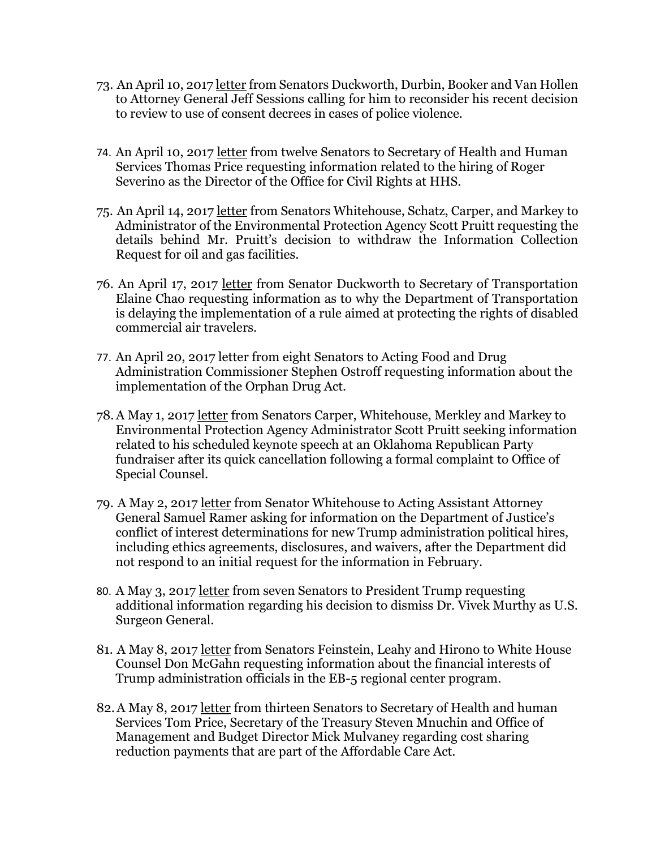- 73. An April 10, 201[7 letter](https://www.duckworth.senate.gov/content/duckworth-senate-democrats-challenge-attorney-general%E2%80%99s-review-consent-decrees) from Senators Duckworth, Durbin, Booker and Van Hollen to Attorney General Jeff Sessions calling for him to reconsider his recent decision to review to use of consent decrees in cases of police violence.
- 74. An April 10, 2017 [letter](http://www.washingtonblade.com/content/files/2017/04/041017-SIGNED-Senate-Letter-to-Price-on-HHS-OCR-Director-Severino-Appointment.pdf) from twelve Senators to Secretary of Health and Human Services Thomas Price requesting information related to the hiring of Roger Severino as the Director of the Office for Civil Rights at HHS.
- 75. An April 14, 2017 [letter](https://www.whitehouse.senate.gov/news/release/senators-question-timing-of-epa-action-following-industry-meeting) from Senators Whitehouse, Schatz, Carper, and Markey to Administrator of the Environmental Protection Agency Scott Pruitt requesting the details behind Mr. Pruitt's decision to withdraw the Information Collection Request for oil and gas facilities.
- 76. An April 17, 2017 [letter](https://www.duckworth.senate.gov/content/duckworth-calls-secretary-chao-explain-delay-dot-rule-assist-disabled-air-travelers) from Senator Duckworth to Secretary of Transportation Elaine Chao requesting information as to why the Department of Transportation is delaying the implementation of a rule aimed at protecting the rights of disabled commercial air travelers.
- 77. An April 20, 2017 letter from eight Senators to Acting Food and Drug Administration Commissioner Stephen Ostroff requesting information about the implementation of the Orphan Drug Act.
- 78.A May 1, 2017 [letter](https://www.carper.senate.gov/public/index.cfm/pressreleases?ID=C3FD6432-E474-4533-8814-3084D324C327) from Senators Carper, Whitehouse, Merkley and Markey to Environmental Protection Agency Administrator Scott Pruitt seeking information related to his scheduled keynote speech at an Oklahoma Republican Party fundraiser after its quick cancellation following a formal complaint to Office of Special Counsel.
- 79. A May 2, 2017 [letter](https://www.whitehouse.senate.gov/news/release/whitehouse-presses-justice-department-on-ethics-documents) from Senator Whitehouse to Acting Assistant Attorney General Samuel Ramer asking for information on the Department of Justice's conflict of interest determinations for new Trump administration political hires, including ethics agreements, disclosures, and waivers, after the Department did not respond to an initial request for the information in February.
- 80. A May 3, 2017 [letter](https://www.murphy.senate.gov/newsroom/press-releases/murphy-group-of-senators-demand-answers-from-president-trump-following-dismissal-of-us-surgeon-general-vivek-murthy) from seven Senators to President Trump requesting additional information regarding his decision to dismiss Dr. Vivek Murthy as U.S. Surgeon General.
- 81. A May 8, 2017 [letter](https://www.feinstein.senate.gov/public/index.cfm/press-releases?ID=58EEE0ED-87A8-47D3-A8CF-DAA90FD9BEFC) from Senators Feinstein, Leahy and Hirono to White House Counsel Don McGahn requesting information about the financial interests of Trump administration officials in the EB-5 regional center program.
- 82.A May 8, 2017 [letter](https://www.vanhollen.senate.gov/content/van-hollen-casey-senate-democrats-administration-stop-sabotaging-our-health-care-system) from thirteen Senators to Secretary of Health and human Services Tom Price, Secretary of the Treasury Steven Mnuchin and Office of Management and Budget Director Mick Mulvaney regarding cost sharing reduction payments that are part of the Affordable Care Act.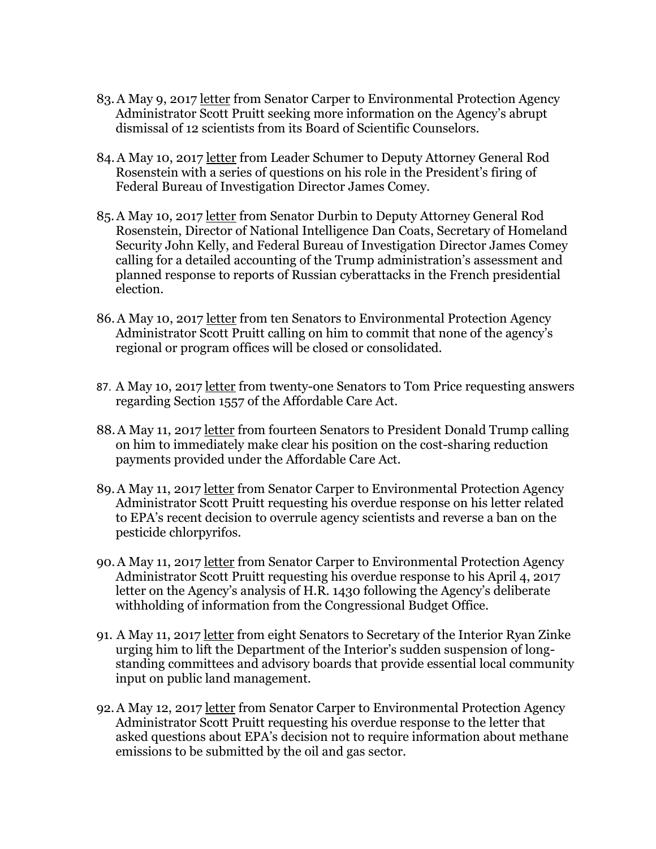- 83.A May 9, 2017 [letter](https://www.carper.senate.gov/public/index.cfm/pressreleases?ID=B6CDB82F-DC9A-4C70-8041-2F40DC4DD20E) from Senator Carper to Environmental Protection Agency Administrator Scott Pruitt seeking more information on the Agency's abrupt dismissal of 12 scientists from its Board of Scientific Counselors.
- 84.A May 10, 2017 [letter](https://www.washingtonpost.com/news/powerpost/wp/2017/05/11/schumer-to-rod-rosenstein-your-reputation-is-at-risk-is-it-true-you-threatened-to-quit/?utm_term=.17ffa69675e5) from Leader Schumer to Deputy Attorney General Rod Rosenstein with a series of questions on his role in the President's firing of Federal Bureau of Investigation Director James Comey.
- 85.A May 10, 2017 [letter](https://www.durbin.senate.gov/newsroom/press-releases/durbin-calls-on-trump-to-respond-to-russian-cyberattacks-on-french-electionand-ours) from Senator Durbin to Deputy Attorney General Rod Rosenstein, Director of National Intelligence Dan Coats, Secretary of Homeland Security John Kelly, and Federal Bureau of Investigation Director James Comey calling for a detailed accounting of the Trump administration's assessment and planned response to reports of Russian cyberattacks in the French presidential election.
- 86.A May 10, 2017 [letter](https://www.carper.senate.gov/public/index.cfm/pressreleases?ID=23D4F007-008A-4EF5-A957-678119DAE966) from ten Senators to Environmental Protection Agency Administrator Scott Pruitt calling on him to commit that none of the agency's regional or program offices will be closed or consolidated.
- 87. A May 10, 2017 [letter](http://www.nbcnews.com/news/us-news/democrats-demand-hhs-answers-plans-overturn-non-discrimination-rule-n757571) from twenty-one Senators to Tom Price requesting answers regarding Section 1557 of the Affordable Care Act.
- 88.A May 11, 2017 [letter](https://www.baldwin.senate.gov/press-releases/cost-sharing-letter) from fourteen Senators to President Donald Trump calling on him to immediately make clear his position on the cost-sharing reduction payments provided under the Affordable Care Act.
- 89.A May 11, 2017 letter from Senator Carper to Environmental Protection Agency Administrator Scott Pruitt requesting his overdue response on his letter related to EPA's recent decision to overrule agency scientists and reverse a ban on the pesticide chlorpyrifos.
- 90.A May 11, 2017 letter from Senator Carper to Environmental Protection Agency Administrator Scott Pruitt requesting his overdue response to his April 4, 2017 letter on the Agency's analysis of H.R. 1430 following the Agency's deliberate withholding of information from the Congressional Budget Office.
- 91. A May 11, 2017 [letter](https://www.bennet.senate.gov/?p=release&id=3913) from eight Senators to Secretary of the Interior Ryan Zinke urging him to lift the Department of the Interior's sudden suspension of longstanding committees and advisory boards that provide essential local community input on public land management.
- 92.A May 12, 2017 letter from Senator Carper to Environmental Protection Agency Administrator Scott Pruitt requesting his overdue response to the letter that asked questions about EPA's decision not to require information about methane emissions to be submitted by the oil and gas sector.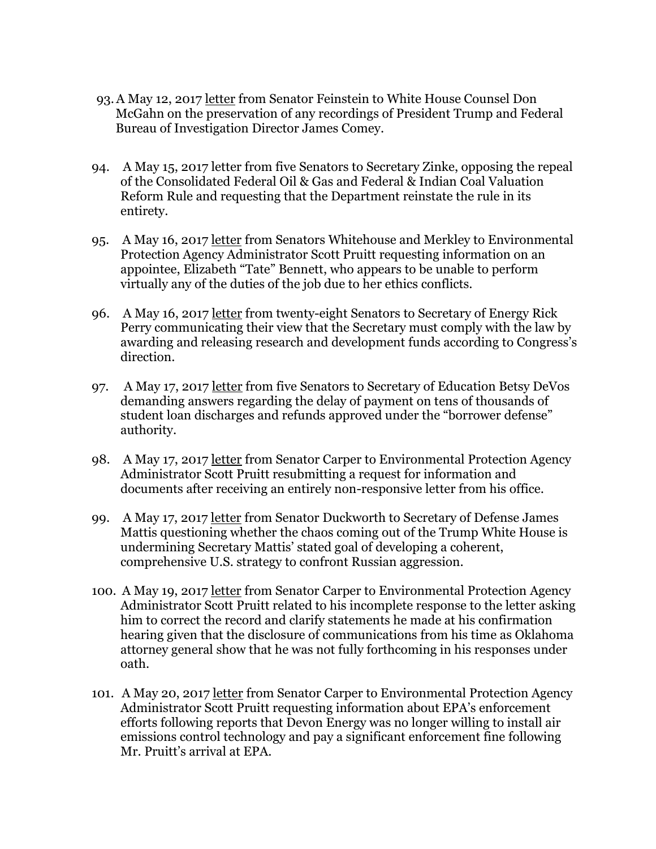- 93.A May 12, 2017 [letter](https://www.feinstein.senate.gov/public/index.cfm/press-releases?ID=B7B340F9-DE98-4812-B715-909EF251C883) from Senator Feinstein to White House Counsel Don McGahn on the preservation of any recordings of President Trump and Federal Bureau of Investigation Director James Comey.
- 94. A May 15, 2017 letter from five Senators to Secretary Zinke, opposing the repeal of the Consolidated Federal Oil & Gas and Federal & Indian Coal Valuation Reform Rule and requesting that the Department reinstate the rule in its entirety.
- 95. A May 16, 2017 [letter](https://www.whitehouse.senate.gov/news/release/whitehouse-merkley-ask-how-epa-appointee-could-possibly-do-her-job-given-extensive-ethics-conflicts) from Senators Whitehouse and Merkley to Environmental Protection Agency Administrator Scott Pruitt requesting information on an appointee, Elizabeth "Tate" Bennett, who appears to be unable to perform virtually any of the duties of the job due to her ethics conflicts.
- 96. A May 16, 2017 [letter](https://www.energy.senate.gov/public/index.cfm/democratic-news?ID=83BD1C5B-424E-4EE4-B647-8024F7EBE1E5) from twenty-eight Senators to Secretary of Energy Rick Perry communicating their view that the Secretary must comply with the law by awarding and releasing research and development funds according to Congress's direction.
- 97. A May 17, 2017 [letter](https://www.durbin.senate.gov/newsroom/press-releases/senators-call-for-answers-on-stalled-student-debt-relief) from five Senators to Secretary of Education Betsy DeVos demanding answers regarding the delay of payment on tens of thousands of student loan discharges and refunds approved under the "borrower defense" authority.
- 98. A May 17, 2017 [letter](https://www.carper.senate.gov/public/index.cfm/pressreleases?ID=46008FA5-EE01-403D-ABC3-C3BE5D38EA21) from Senator Carper to Environmental Protection Agency Administrator Scott Pruitt resubmitting a request for information and documents after receiving an entirely non-responsive letter from his office.
- 99. A May 17, 2017 [letter](https://www.duckworth.senate.gov/content/duckworth-mattis-will-president-trump%E2%80%99s-recent-actions-undermine-broader-us-strategy-toward) from Senator Duckworth to Secretary of Defense James Mattis questioning whether the chaos coming out of the Trump White House is undermining Secretary Mattis' stated goal of developing a coherent, comprehensive U.S. strategy to confront Russian aggression.
- 100. A May 19, 2017 letter from Senator Carper to Environmental Protection Agency Administrator Scott Pruitt related to his incomplete response to the letter asking him to correct the record and clarify statements he made at his confirmation hearing given that the disclosure of communications from his time as Oklahoma attorney general show that he was not fully forthcoming in his responses under oath.
- 101. A May 20, 2017 [letter](https://www.epw.senate.gov/public/_cache/files/3185d719-5f32-4b6d-bc99-5c45e3129fec/carper-demands-information-from-pruitt-on-epas-enforcement-actions.pdf) from Senator Carper to Environmental Protection Agency Administrator Scott Pruitt requesting information about EPA's enforcement efforts following reports that Devon Energy was no longer willing to install air emissions control technology and pay a significant enforcement fine following Mr. Pruitt's arrival at EPA.